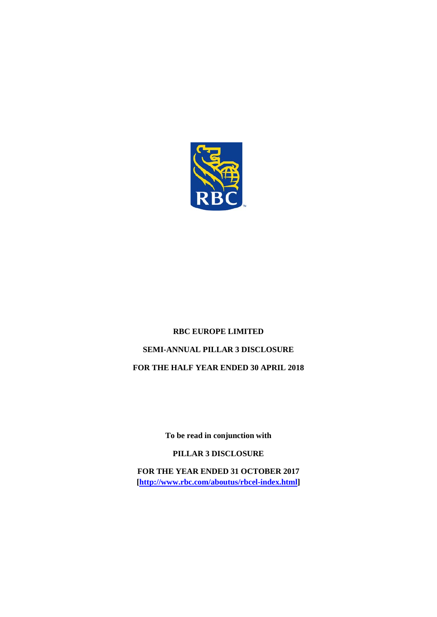

# **RBC EUROPE LIMITED SEMI-ANNUAL PILLAR 3 DISCLOSURE FOR THE HALF YEAR ENDED 30 APRIL 2018**

**To be read in conjunction with** 

**PILLAR 3 DISCLOSURE**

**FOR THE YEAR ENDED 31 OCTOBER 2017 [\[http://www.rbc.com/aboutus/rbcel-index.html\]](http://www.rbc.com/aboutus/rbcel-index.html)**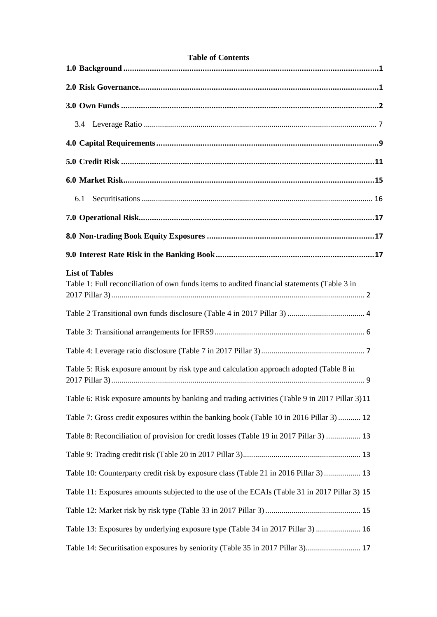| <b>Table of Contents</b>                                                                                             |
|----------------------------------------------------------------------------------------------------------------------|
|                                                                                                                      |
|                                                                                                                      |
|                                                                                                                      |
|                                                                                                                      |
|                                                                                                                      |
|                                                                                                                      |
|                                                                                                                      |
| 6.1                                                                                                                  |
|                                                                                                                      |
|                                                                                                                      |
|                                                                                                                      |
| <b>List of Tables</b><br>Table 1: Full reconciliation of own funds items to audited financial statements (Table 3 in |
|                                                                                                                      |
|                                                                                                                      |
|                                                                                                                      |
| Table 5: Risk exposure amount by risk type and calculation approach adopted (Table 8 in<br>q                         |
| Table 6: Risk exposure amounts by banking and trading activities (Table 9 in 2017 Pillar 3)11                        |
| Table 7: Gross credit exposures within the banking book (Table 10 in 2016 Pillar 3)  12                              |
| Table 8: Reconciliation of provision for credit losses (Table 19 in 2017 Pillar 3)  13                               |
|                                                                                                                      |
| Table 10: Counterparty credit risk by exposure class (Table 21 in 2016 Pillar 3)  13                                 |
| Table 11: Exposures amounts subjected to the use of the ECAIs (Table 31 in 2017 Pillar 3) 15                         |
|                                                                                                                      |
| Table 13: Exposures by underlying exposure type (Table 34 in 2017 Pillar 3)  16                                      |
| Table 14: Securitisation exposures by seniority (Table 35 in 2017 Pillar 3) 17                                       |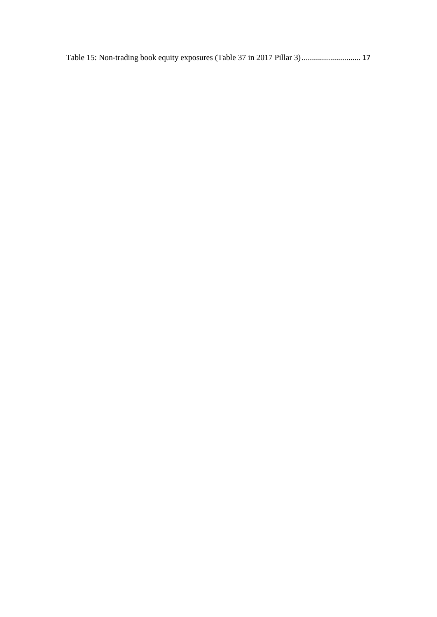[Table 15: Non-trading book equity exposures \(Table 37 in 2017 Pillar 3\)](#page-19-4)............................. 17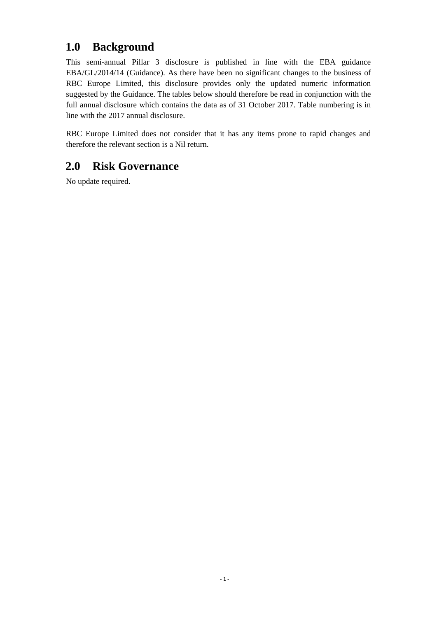### <span id="page-3-0"></span>**1.0 Background**

This semi-annual Pillar 3 disclosure is published in line with the EBA guidance EBA/GL/2014/14 (Guidance). As there have been no significant changes to the business of RBC Europe Limited, this disclosure provides only the updated numeric information suggested by the Guidance. The tables below should therefore be read in conjunction with the full annual disclosure which contains the data as of 31 October 2017. Table numbering is in line with the 2017 annual disclosure.

RBC Europe Limited does not consider that it has any items prone to rapid changes and therefore the relevant section is a Nil return.

### <span id="page-3-1"></span>**2.0 Risk Governance**

No update required.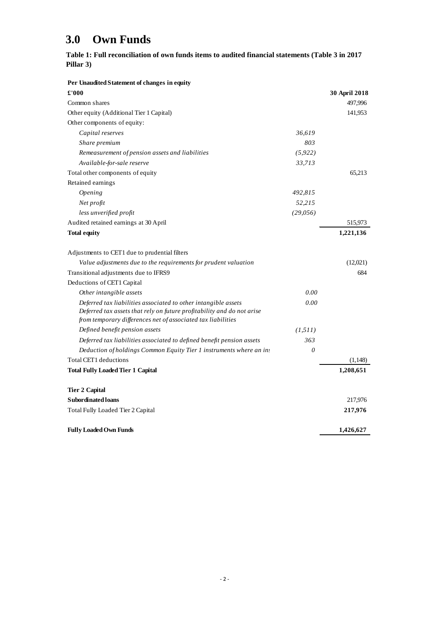## <span id="page-4-0"></span>**3.0 Own Funds**

<span id="page-4-1"></span>

|           | Table 1: Full reconciliation of own funds items to audited financial statements (Table 3 in 2017 |  |
|-----------|--------------------------------------------------------------------------------------------------|--|
| Pillar 3) |                                                                                                  |  |

| Per Unaudited Statement of changes in equity                                                                                           |          |               |
|----------------------------------------------------------------------------------------------------------------------------------------|----------|---------------|
| £'000                                                                                                                                  |          | 30 April 2018 |
| Common shares                                                                                                                          |          | 497,996       |
| Other equity (Additional Tier 1 Capital)                                                                                               |          | 141,953       |
| Other components of equity:                                                                                                            |          |               |
| Capital reserves                                                                                                                       | 36,619   |               |
| Share premium                                                                                                                          | 803      |               |
| Remeasurement of pension assets and liabilities                                                                                        | (5, 922) |               |
| Available-for-sale reserve                                                                                                             | 33,713   |               |
| Total other components of equity                                                                                                       |          | 65,213        |
| Retained earnings                                                                                                                      |          |               |
| Opening                                                                                                                                | 492,815  |               |
| Net profit                                                                                                                             | 52,215   |               |
| less unverified profit                                                                                                                 | (29,056) |               |
| Audited retained earnings at 30 April                                                                                                  |          | 515,973       |
| <b>Total equity</b>                                                                                                                    |          | 1,221,136     |
| Adjustments to CET1 due to prudential filters                                                                                          |          |               |
| Value adjustments due to the requirements for prudent valuation                                                                        |          | (12,021)      |
| Transitional adjustments due to IFRS9                                                                                                  |          | 684           |
| Deductions of CET1 Capital                                                                                                             |          |               |
| Other intangible assets                                                                                                                | 0.00     |               |
| Deferred tax liabilities associated to other intangible assets                                                                         | 0.00     |               |
| Deferred tax assets that rely on future profitability and do not arise<br>from temporary differences net of associated tax liabilities |          |               |
| Defined benefit pension assets                                                                                                         | (1, 511) |               |
| Deferred tax liabilities associated to defined benefit pension assets                                                                  | 363      |               |
| Deduction of holdings Common Equity Tier 1 instruments where an in:                                                                    | $\theta$ |               |
| Total CET1 deductions                                                                                                                  |          | (1,148)       |
| <b>Total Fully Loaded Tier 1 Capital</b>                                                                                               |          | 1,208,651     |
| <b>Tier 2 Capital</b>                                                                                                                  |          |               |
| <b>Subordinated loans</b>                                                                                                              |          | 217,976       |
| Total Fully Loaded Tier 2 Capital                                                                                                      |          | 217,976       |
| <b>Fully Loaded Own Funds</b>                                                                                                          |          | 1,426,627     |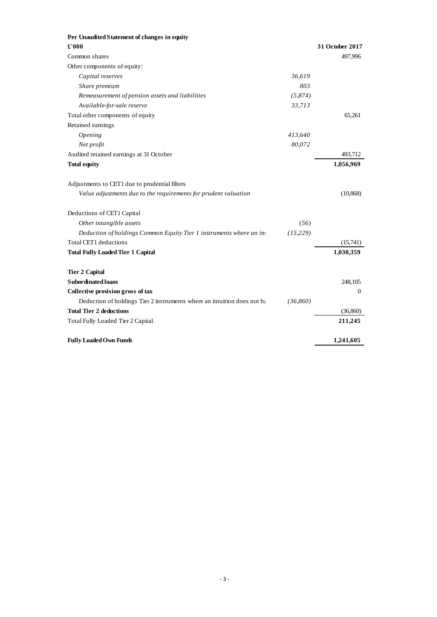| Per Unaudited Statement of changes in equity                                        |                 |
|-------------------------------------------------------------------------------------|-----------------|
| £'000                                                                               | 31 October 2017 |
| Common shares                                                                       | 497,996         |
| Other components of equity:                                                         |                 |
| Capital reserves<br>36,619                                                          |                 |
| 803<br>Share premium                                                                |                 |
| Remeasurement of pension assets and liabilities<br>(5,874)                          |                 |
| Available-for-sale reserve<br>33,713                                                |                 |
| Total other components of equity                                                    | 65,261          |
| Retained earnings                                                                   |                 |
| Opening<br>413,640                                                                  |                 |
| Net profit<br>80,072                                                                |                 |
| Audited retained earnings at 31 October                                             | 493,712         |
| <b>Total equity</b>                                                                 | 1,056,969       |
| Adjustments to CET1 due to prudential filters                                       |                 |
| Value adjustments due to the requirements for prudent valuation                     | (10, 868)       |
| Deductions of CET1 Capital                                                          |                 |
| Other intangible assets<br>(56)                                                     |                 |
| Deduction of holdings Common Equity Tier 1 instruments where an ins<br>(15, 229)    |                 |
| Total CET1 deductions                                                               | (15,741)        |
| <b>Total Fully Loaded Tier 1 Capital</b>                                            | 1,030,359       |
| <b>Tier 2 Capital</b>                                                               |                 |
| <b>Subordinated loans</b>                                                           | 248,105         |
| Collective provision gross of tax                                                   | $\mathbf{0}$    |
| Deduction of holdings Tier 2 instruments where an intuition does not ha<br>(36,860) |                 |
| <b>Total Tier 2 deductions</b>                                                      | (36,860)        |
| Total Fully Loaded Tier 2 Capital                                                   | 211,245         |
| <b>Fully Loaded Own Funds</b>                                                       | 1,241,605       |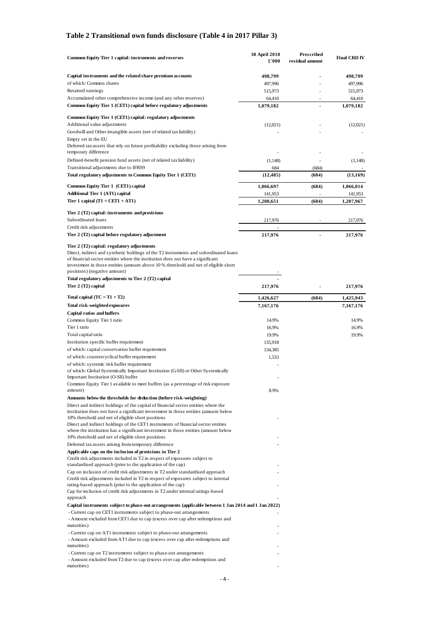#### <span id="page-6-0"></span>**Table 2 Transitional own funds disclosure (Table 4 in 2017 Pillar 3)**

| Common Equity Tier 1 capital: instruments and reserves                                                                                                                                                                                                                                                                                      | 30 April 2018<br>£'000 | Prescribed<br>residual amount | <b>Final CRD IV</b> |
|---------------------------------------------------------------------------------------------------------------------------------------------------------------------------------------------------------------------------------------------------------------------------------------------------------------------------------------------|------------------------|-------------------------------|---------------------|
| Capital instruments and the related share premium accounts                                                                                                                                                                                                                                                                                  | 498,799                |                               | 498,799             |
| of which: Common shares                                                                                                                                                                                                                                                                                                                     | 497,996                |                               | 497,996             |
| Retained earnings                                                                                                                                                                                                                                                                                                                           | 515,973                |                               | 515,973             |
| Accumulated other comprehensive income (and any other reserves)                                                                                                                                                                                                                                                                             | 64,410                 |                               | 64,410              |
| Common Equity Tier 1 (CET1) capital before regulatory adjustments                                                                                                                                                                                                                                                                           | 1,079,182              | $\overline{a}$                | 1,079,182           |
| Common Equity Tier 1 (CET1) capital: regulatory adjustments                                                                                                                                                                                                                                                                                 |                        |                               |                     |
| Additional value adjustments                                                                                                                                                                                                                                                                                                                | (12,021)               |                               | (12,021)            |
| Goodwill and Other intangible assets (net of related tax liability)                                                                                                                                                                                                                                                                         |                        |                               |                     |
| Empty set in the EU                                                                                                                                                                                                                                                                                                                         |                        |                               |                     |
| Deferred tax assets that rely on future profitability excluding those arising from                                                                                                                                                                                                                                                          |                        |                               |                     |
| temporary difference                                                                                                                                                                                                                                                                                                                        |                        |                               |                     |
| Defined-benefit pension fund assets (net of related tax liability)                                                                                                                                                                                                                                                                          | (1,148)                |                               | (1,148)             |
| Transitional adjustments due to IFRS9<br>Total regulatory adjustments to Common Equity Tier 1 (CET1)                                                                                                                                                                                                                                        | 684<br>(12, 485)       | (684)<br>(684)                | (13, 169)           |
|                                                                                                                                                                                                                                                                                                                                             |                        |                               |                     |
| Common Equity Tier 1 (CET1) capital                                                                                                                                                                                                                                                                                                         | 1,066,697              | (684)                         | 1,066,014           |
| <b>Additional Tier 1 (AT1) capital</b>                                                                                                                                                                                                                                                                                                      | 141,953                |                               | 141,953             |
| Tier 1 capital $(T1 = CET1 + AT1)$                                                                                                                                                                                                                                                                                                          | 1,208,651              | (684)                         | 1,207,967           |
| Tier 2 (T2) capital: instruments and provisions                                                                                                                                                                                                                                                                                             |                        |                               |                     |
| Subordinated loans                                                                                                                                                                                                                                                                                                                          | 217,976                |                               | 217,976             |
| Credit risk adjustments                                                                                                                                                                                                                                                                                                                     |                        |                               |                     |
| Tier 2 (T2) capital before regulatory adjustment                                                                                                                                                                                                                                                                                            | 217,976                |                               | 217,976             |
| Tier 2 (T2) capital: regulatory adjustments<br>Direct, indirect and synthetic holdings of the T2 instruments and subordinated loans<br>of financial sector entities where the institution does not have a significant<br>investment in those entities (amount above 10% threshold and net of eligible short<br>positions) (negative amount) |                        |                               |                     |
| Total regulatory adjustments to Tier 2 (T2) capital                                                                                                                                                                                                                                                                                         |                        |                               |                     |
| Tier 2 (T2) capital                                                                                                                                                                                                                                                                                                                         | 217,976                |                               | 217,976             |
| Total capital $(TC = T1 + T2)$                                                                                                                                                                                                                                                                                                              | 1,426,627              | (684)                         | 1,425,943           |
| Total risk-weighted exposures                                                                                                                                                                                                                                                                                                               | 7,167,176              |                               | 7,167,176           |
| <b>Capital ratios and buffers</b>                                                                                                                                                                                                                                                                                                           |                        |                               |                     |
| Common Equity Tier 1 ratio                                                                                                                                                                                                                                                                                                                  | 14.9%                  |                               | 14.9%               |
| Tier 1 ratio                                                                                                                                                                                                                                                                                                                                | 16.9%                  |                               | 16.9%               |
| Total capital ratio                                                                                                                                                                                                                                                                                                                         | 19.9%                  |                               | 19.9%               |
| Institution specific buffer requirement                                                                                                                                                                                                                                                                                                     | 135,918                |                               |                     |
| of which: capital conservation buffer requirement                                                                                                                                                                                                                                                                                           | 134,385                |                               |                     |
| of which: countercyclical buffer requirement<br>of which: systemic risk buffer requirement                                                                                                                                                                                                                                                  | 1,533                  |                               |                     |
| of which: Global Systemically Important Institution (G-SII) or Other Systemically<br>Important Institution (O-SII) buffer                                                                                                                                                                                                                   |                        |                               |                     |
| Common Equity Tier 1 available to meet buffers (as a percentage of risk exposure                                                                                                                                                                                                                                                            |                        |                               |                     |
| amount)                                                                                                                                                                                                                                                                                                                                     | 8.9%                   |                               |                     |
| Amounts below the thresholds for deduction (before risk-weighting)                                                                                                                                                                                                                                                                          |                        |                               |                     |
| Direct and indirect holdings of the capital of financial sector entities where the<br>institution does not have a significant investment in those entities (amount below                                                                                                                                                                    |                        |                               |                     |
| 10% threshold and net of eligible short positions                                                                                                                                                                                                                                                                                           |                        |                               |                     |
| Direct and indirect holdings of the CET1 instruments of financial sector entities                                                                                                                                                                                                                                                           |                        |                               |                     |
| where the institution has a significant investment in those entities (amount below                                                                                                                                                                                                                                                          |                        |                               |                     |
| 10% threshold and net of eligible short positions<br>Deferred tax assets arising from temporary difference                                                                                                                                                                                                                                  |                        |                               |                     |
| Applicable caps on the inclusion of provisions in Tier 2                                                                                                                                                                                                                                                                                    |                        |                               |                     |
| Credit risk adjustments included in T2 in respect of exposures subject to<br>standardised approach (prior to the application of the cap)                                                                                                                                                                                                    |                        |                               |                     |
| Cap on inclusion of credit risk adjustments in T2 under standardised approach                                                                                                                                                                                                                                                               |                        |                               |                     |
| Credit risk adjustments included in T2 in respect of exposures subject to internal                                                                                                                                                                                                                                                          |                        |                               |                     |
| rating-based approach (prior to the application of the cap)<br>Cap for inclusion of credit risk adjustments in T2 under internal ratings-based<br>approach                                                                                                                                                                                  |                        |                               |                     |
| Capital instruments subject to phase-out arrangements (applicable between 1 Jan 2014 and 1 Jan 2022)                                                                                                                                                                                                                                        |                        |                               |                     |
| - Current cap on CET1 instruments subject to phase-out arrangements                                                                                                                                                                                                                                                                         |                        |                               |                     |
| - Amount excluded from CET1 due to cap (excess over cap after redemptions and                                                                                                                                                                                                                                                               |                        |                               |                     |
| maturities)                                                                                                                                                                                                                                                                                                                                 |                        |                               |                     |
| - Current cap on AT1 instruments subject to phase-out arrangements<br>- Amount excluded from AT1 due to cap (excess over cap after redemptions and                                                                                                                                                                                          |                        |                               |                     |
| maturities)                                                                                                                                                                                                                                                                                                                                 |                        |                               |                     |
| - Current cap on T2 instruments subject to phase-out arrangements                                                                                                                                                                                                                                                                           |                        |                               |                     |
| - Amount excluded from T2 due to cap (excess over cap after redemptions and                                                                                                                                                                                                                                                                 |                        |                               |                     |
| maturities)                                                                                                                                                                                                                                                                                                                                 |                        |                               |                     |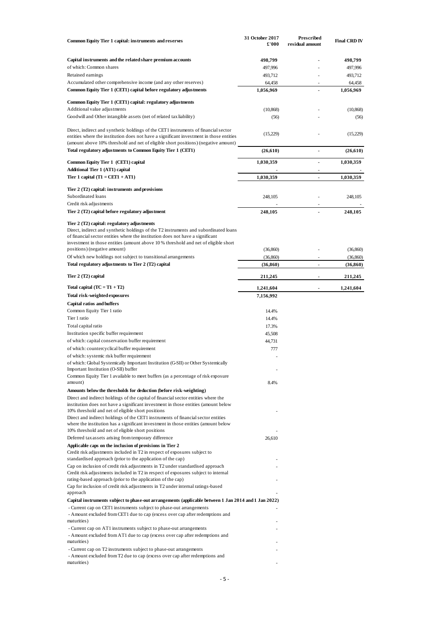| Common Equity Tier 1 capital: instruments and reserves                                                                                                                                                                                                                                                      | 31 October 2017<br>£'000 | Prescribed<br>residual amount | <b>Final CRD IV</b>    |
|-------------------------------------------------------------------------------------------------------------------------------------------------------------------------------------------------------------------------------------------------------------------------------------------------------------|--------------------------|-------------------------------|------------------------|
| Capital instruments and the related share premium accounts                                                                                                                                                                                                                                                  | 498,799                  |                               | 498,799                |
| of which: Common shares                                                                                                                                                                                                                                                                                     | 497,996                  |                               | 497,996                |
| Retained earnings                                                                                                                                                                                                                                                                                           | 493,712                  |                               | 493,712                |
| Accumulated other comprehensive income (and any other reserves)                                                                                                                                                                                                                                             | 64,458                   |                               | 64,458                 |
| Common Equity Tier 1 (CET1) capital before regulatory adjustments                                                                                                                                                                                                                                           | 1,056,969                |                               | 1,056,969              |
| Common Equity Tier 1 (CET1) capital: regulatory adjustments                                                                                                                                                                                                                                                 |                          |                               |                        |
| Additional value adjustments                                                                                                                                                                                                                                                                                | (10, 868)                |                               | (10, 868)              |
| Goodwill and Other intangible assets (net of related tax liability)                                                                                                                                                                                                                                         | (56)                     |                               | (56)                   |
| Direct, indirect and synthetic holdings of the CET1 instruments of financial sector<br>entities where the institution does not have a significant investment in those entities<br>(amount above 10% threshold and net of eligible short positions) (negative amount)                                        | (15,229)                 |                               | (15,229)               |
| Total regulatory adjustments to Common Equity Tier 1 (CET1)                                                                                                                                                                                                                                                 | (26, 610)                | $\overline{a}$                | (26,610)               |
| Common Equity Tier 1 (CET1) capital                                                                                                                                                                                                                                                                         | 1,030,359                | $\overline{a}$                | 1,030,359              |
| Additional Tier 1 (AT1) capital                                                                                                                                                                                                                                                                             |                          | ٠                             |                        |
| Tier 1 capital $(T1 = CET1 + AT1)$                                                                                                                                                                                                                                                                          | 1,030,359                | $\overline{a}$                | 1,030,359              |
| Tier 2 (T2) capital: instruments and provisions                                                                                                                                                                                                                                                             |                          |                               |                        |
| Subordinated loans                                                                                                                                                                                                                                                                                          | 248,105                  |                               | 248,105                |
| Credit risk adjustments<br>Tier 2 (T2) capital before regulatory adjustment                                                                                                                                                                                                                                 | 248,105                  |                               | 248,105                |
|                                                                                                                                                                                                                                                                                                             |                          |                               |                        |
| Tier 2 (T2) capital: regulatory adjustments<br>Direct, indirect and synthetic holdings of the T2 instruments and subordinated loans<br>of financial sector entities where the institution does not have a significant<br>investment in those entities (amount above 10% threshold and net of eligible short |                          |                               |                        |
| positions) (negative amount)                                                                                                                                                                                                                                                                                | (36, 860)                |                               | (36, 860)              |
| Of which new holdings not subject to transitional arrangements<br>Total regulatory adjustments to Tier 2 (T2) capital                                                                                                                                                                                       | (36, 860)<br>(36, 860)   | ä,                            | (36, 860)<br>(36, 860) |
| Tier 2 (T2) capital                                                                                                                                                                                                                                                                                         | 211,245                  |                               | 211,245                |
|                                                                                                                                                                                                                                                                                                             |                          |                               |                        |
| Total capital $(TC = T1 + T2)$                                                                                                                                                                                                                                                                              | 1,241,604                |                               | 1,241,604              |
| Total risk-weighted exposures<br>Capital ratios and buffers                                                                                                                                                                                                                                                 | 7,156,992                |                               |                        |
| Common Equity Tier 1 ratio                                                                                                                                                                                                                                                                                  | 14.4%                    |                               |                        |
| Tier 1 ratio                                                                                                                                                                                                                                                                                                | 14.4%                    |                               |                        |
| Total capital ratio                                                                                                                                                                                                                                                                                         | 17.3%                    |                               |                        |
| Institution specific buffer requirement                                                                                                                                                                                                                                                                     | 45,508                   |                               |                        |
| of which: capital conservation buffer requirement                                                                                                                                                                                                                                                           | 44,731                   |                               |                        |
| of which: countercyclical buffer requirement                                                                                                                                                                                                                                                                | 777                      |                               |                        |
| of which: systemic risk buffer requirement                                                                                                                                                                                                                                                                  |                          |                               |                        |
| of which: Global Systemically Important Institution (G-SII) or Other Systemically<br>Important Institution (O-SII) buffer                                                                                                                                                                                   |                          |                               |                        |
| Common Equity Tier 1 available to meet buffers (as a percentage of risk exposure                                                                                                                                                                                                                            |                          |                               |                        |
| amount)                                                                                                                                                                                                                                                                                                     | 8.4%                     |                               |                        |
| Amounts below the thresholds for deduction (before risk-weighting)                                                                                                                                                                                                                                          |                          |                               |                        |
| Direct and indirect holdings of the capital of financial sector entities where the<br>institution does not have a significant investment in those entities (amount below                                                                                                                                    |                          |                               |                        |
| 10% threshold and net of eligible short positions                                                                                                                                                                                                                                                           |                          |                               |                        |
| Direct and indirect holdings of the CET1 instruments of financial sector entities<br>where the institution has a significant investment in those entities (amount below                                                                                                                                     |                          |                               |                        |
| 10% threshold and net of eligible short positions                                                                                                                                                                                                                                                           |                          |                               |                        |
| Deferred tax assets arising from temporary difference                                                                                                                                                                                                                                                       | 26,610                   |                               |                        |
| Applicable caps on the inclusion of provisions in Tier 2<br>Credit risk adjustments included in T2 in respect of exposures subject to                                                                                                                                                                       |                          |                               |                        |
| standardised approach (prior to the application of the cap)                                                                                                                                                                                                                                                 |                          |                               |                        |
| Cap on inclusion of credit risk adjustments in T2 under standardised approach                                                                                                                                                                                                                               |                          |                               |                        |
| Credit risk adjustments included in T2 in respect of exposures subject to internal                                                                                                                                                                                                                          |                          |                               |                        |
| rating-based approach (prior to the application of the cap)<br>Cap for inclusion of credit risk adjustments in T2 under internal ratings-based                                                                                                                                                              |                          |                               |                        |
| approach                                                                                                                                                                                                                                                                                                    |                          |                               |                        |
| Capital instruments subject to phase-out arrangements (applicable between 1 Jan 2014 and 1 Jan 2022)                                                                                                                                                                                                        |                          |                               |                        |
| - Current cap on CET1 instruments subject to phase-out arrangements<br>- Amount excluded from CET1 due to cap (excess over cap after redemptions and                                                                                                                                                        |                          |                               |                        |
| maturities)                                                                                                                                                                                                                                                                                                 |                          |                               |                        |
| - Current cap on AT1 instruments subject to phase-out arrangements                                                                                                                                                                                                                                          |                          |                               |                        |
| - Amount excluded from AT1 due to cap (excess over cap after redemptions and                                                                                                                                                                                                                                |                          |                               |                        |
| maturities)                                                                                                                                                                                                                                                                                                 |                          |                               |                        |
| - Current cap on T2 instruments subject to phase-out arrangements                                                                                                                                                                                                                                           |                          |                               |                        |
| - Amount excluded from T2 due to cap (excess over cap after redemptions and<br>maturities)                                                                                                                                                                                                                  |                          |                               |                        |
|                                                                                                                                                                                                                                                                                                             |                          |                               |                        |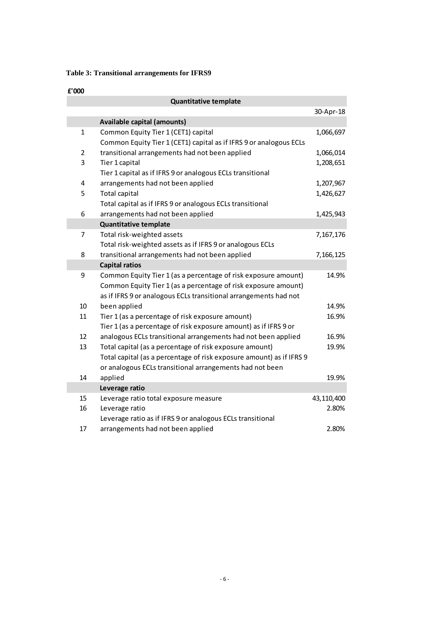### <span id="page-8-0"></span>**Table 3: Transitional arrangements for IFRS9**

### **£'000**

|                | <b>Quantitative template</b>                                         |            |
|----------------|----------------------------------------------------------------------|------------|
|                |                                                                      | 30-Apr-18  |
|                | <b>Available capital (amounts)</b>                                   |            |
| $\mathbf{1}$   | Common Equity Tier 1 (CET1) capital                                  | 1,066,697  |
|                | Common Equity Tier 1 (CET1) capital as if IFRS 9 or analogous ECLs   |            |
| $\overline{2}$ | transitional arrangements had not been applied                       | 1,066,014  |
| 3              | Tier 1 capital                                                       | 1,208,651  |
|                | Tier 1 capital as if IFRS 9 or analogous ECLs transitional           |            |
| 4              | arrangements had not been applied                                    | 1,207,967  |
| 5              | Total capital                                                        | 1,426,627  |
|                | Total capital as if IFRS 9 or analogous ECLs transitional            |            |
| 6              | arrangements had not been applied                                    | 1,425,943  |
|                | <b>Quantitative template</b>                                         |            |
| 7              | Total risk-weighted assets                                           | 7,167,176  |
|                | Total risk-weighted assets as if IFRS 9 or analogous ECLs            |            |
| 8              | transitional arrangements had not been applied                       | 7,166,125  |
|                | <b>Capital ratios</b>                                                |            |
| 9              | Common Equity Tier 1 (as a percentage of risk exposure amount)       | 14.9%      |
|                | Common Equity Tier 1 (as a percentage of risk exposure amount)       |            |
|                | as if IFRS 9 or analogous ECLs transitional arrangements had not     |            |
| 10             | been applied                                                         | 14.9%      |
| 11             | Tier 1 (as a percentage of risk exposure amount)                     | 16.9%      |
|                | Tier 1 (as a percentage of risk exposure amount) as if IFRS 9 or     |            |
| 12             | analogous ECLs transitional arrangements had not been applied        | 16.9%      |
| 13             | Total capital (as a percentage of risk exposure amount)              | 19.9%      |
|                | Total capital (as a percentage of risk exposure amount) as if IFRS 9 |            |
|                | or analogous ECLs transitional arrangements had not been             |            |
| 14             | applied                                                              | 19.9%      |
|                | Leverage ratio                                                       |            |
| 15             | Leverage ratio total exposure measure                                | 43,110,400 |
| 16             | Leverage ratio                                                       | 2.80%      |
|                | Leverage ratio as if IFRS 9 or analogous ECLs transitional           |            |
| 17             | arrangements had not been applied                                    | 2.80%      |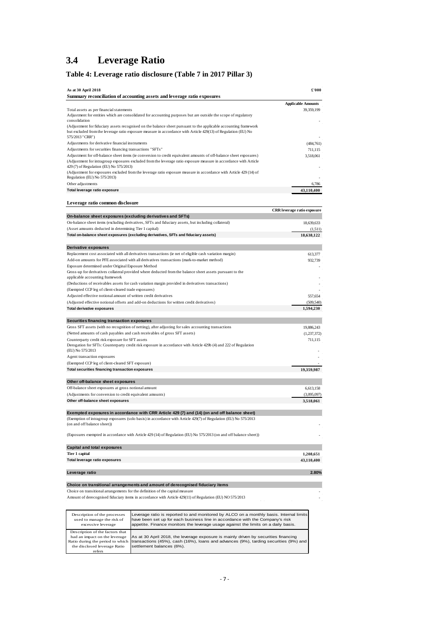### <span id="page-9-0"></span>**3.4 Leverage Ratio**

### <span id="page-9-1"></span>**Table 4: Leverage ratio disclosure (Table 7 in 2017 Pillar 3)**

| As at 30 April 2018                                                              |                                                                                                                                                                                                                                                                | £'000                       |
|----------------------------------------------------------------------------------|----------------------------------------------------------------------------------------------------------------------------------------------------------------------------------------------------------------------------------------------------------------|-----------------------------|
|                                                                                  | Summary reconciliation of accounting assets and leverage ratio exposures                                                                                                                                                                                       |                             |
|                                                                                  |                                                                                                                                                                                                                                                                | <b>Applicable Amounts</b>   |
| Total assets as per financial statements<br>consolidation                        | Adjustment for entities which are consolidated for accounting purposes but are outside the scope of regulatory                                                                                                                                                 | 39,359,199                  |
|                                                                                  | (Adjustment for fiduciary assets recognised on the balance sheet pursuant to the applicable accounting framework<br>but excluded from the leverage ratio exposure measure in accordance with Article 429(13) of Regulation (EU) No                             |                             |
| 575/2013 "CRR")<br>Adjustments for derivative financial instruments              |                                                                                                                                                                                                                                                                | (484,761)                   |
| Adjustments for securities financing transactions "SFTs"                         |                                                                                                                                                                                                                                                                | 711,115                     |
|                                                                                  | Adjustment for off-balance sheet items (ie conversion to credit equivalent amounts of off-balance sheet exposures)                                                                                                                                             | 3,518,061                   |
| 429 (7) of Regulation (EU) No 575/2013)                                          | (Adjustment for intragroup exposures excluded from the leverage ratio exposure measure in accordance with Article                                                                                                                                              |                             |
| Regulation (EU) No 575/2013)                                                     | (Adjustment for exposures excluded from the leverage ratio exposure measure in accordance with Article 429 (14) of                                                                                                                                             |                             |
| Other adjustments                                                                |                                                                                                                                                                                                                                                                | 6,786                       |
| Total leverage ratio exposure                                                    |                                                                                                                                                                                                                                                                | 43,110,400                  |
| Leverage ratio common disclosure                                                 |                                                                                                                                                                                                                                                                |                             |
|                                                                                  |                                                                                                                                                                                                                                                                | CRR leverage ratio exposure |
| On-balance sheet exposures (excluding derivatives and SFTs)                      |                                                                                                                                                                                                                                                                |                             |
| (Asset amounts deducted in determining Tier 1 capital)                           | On-balance sheet items (excluding derivatives, SFTs and fiduciary assets, but including collateral)                                                                                                                                                            | 18,639,633<br>(1,511)       |
|                                                                                  | Total on-balance sheet exposures (excluding derivatives, SFTs and fiduciary assets)                                                                                                                                                                            | 18,638,122                  |
|                                                                                  |                                                                                                                                                                                                                                                                |                             |
| Derivative exposures                                                             |                                                                                                                                                                                                                                                                |                             |
|                                                                                  | Replacement cost associated with all derivatives transactions (ie net of eligible cash variation margin)                                                                                                                                                       | 613,377                     |
|                                                                                  | Add-on amounts for PFE associated with all derivatives transactions (mark-to-market method)                                                                                                                                                                    | 932,739                     |
| Exposure determined under Original Exposure Method                               |                                                                                                                                                                                                                                                                |                             |
|                                                                                  | Gross-up for derivatives collateral provided where deducted from the balance sheet assets pursuant to the                                                                                                                                                      |                             |
| applicable accounting framework                                                  |                                                                                                                                                                                                                                                                |                             |
| (Exempted CCP leg of client-cleared trade exposures)                             | (Deductions of receivables assets for cash variation margin provided in derivatives transactions)                                                                                                                                                              |                             |
| Adjusted effective notional amount of written credit derivatives                 |                                                                                                                                                                                                                                                                | 557,654                     |
|                                                                                  | (Adjusted effective notional offsets and add-on deductions for written credit derivatives)                                                                                                                                                                     | (509, 540)                  |
| <b>Total derivative exposures</b>                                                |                                                                                                                                                                                                                                                                | 1,594,230                   |
|                                                                                  |                                                                                                                                                                                                                                                                |                             |
| Securities financing transaction exposures                                       | Gross SFT assets (with no recognition of netting), after adjusting for sales accounting transactions                                                                                                                                                           | 19,886,243                  |
|                                                                                  | (Netted amounts of cash payables and cash receivables of gross SFT assets)                                                                                                                                                                                     | (1,237,372)                 |
| Counterparty credit risk exposure for SFT assets                                 |                                                                                                                                                                                                                                                                | 711,115                     |
| (EU) No 575/2013                                                                 | Derogation for SFTs: Counterparty credit risk exposure in accordance with Article 429b (4) and 222 of Regulation                                                                                                                                               |                             |
| Agent transaction exposures                                                      |                                                                                                                                                                                                                                                                |                             |
| (Exempted CCP leg of client-cleared SFT exposure)                                |                                                                                                                                                                                                                                                                |                             |
| Total securities financing transaction exposures                                 |                                                                                                                                                                                                                                                                | 19,359,987                  |
| Other off-balance sheet exposures                                                |                                                                                                                                                                                                                                                                |                             |
| Off-balance sheet exposures at gross notional amount                             |                                                                                                                                                                                                                                                                | 6,613,158                   |
| (Adjustments for conversion to credit equivalent amounts)                        |                                                                                                                                                                                                                                                                | (3,095,097)                 |
| Other off-balance sheet exposures                                                |                                                                                                                                                                                                                                                                | 3,518,061                   |
|                                                                                  | Exempted exposures in accordance with CRR Article 429 (7) and (14) (on and off balance sheet)                                                                                                                                                                  |                             |
| (on and off balance sheet))                                                      | (Exemption of intragroup exposures (solo basis) in accordance with Article 429(7) of Regulation (EU) No 575/2013                                                                                                                                               |                             |
|                                                                                  | (Exposures exempted in accordance with Article 429 (14) of Regulation (EU) No 575/2013 (on and off balance sheet))                                                                                                                                             |                             |
| Capital and total exposures                                                      |                                                                                                                                                                                                                                                                |                             |
| Tier 1 capital                                                                   |                                                                                                                                                                                                                                                                | 1,208,651                   |
| Total leverage ratio exposures                                                   |                                                                                                                                                                                                                                                                | 43,110,400                  |
| Leverage ratio                                                                   |                                                                                                                                                                                                                                                                | 2.80%                       |
|                                                                                  | Choice on transitional arrangements and amount of derecognised fiduciary items                                                                                                                                                                                 |                             |
|                                                                                  | Choice on transitional arrangements for the definition of the capital measure                                                                                                                                                                                  |                             |
|                                                                                  | Amount of derecognised fiduciary items in accordance with Article 429(11) of Regulation (EU) NO 575/2013                                                                                                                                                       |                             |
| Description of the processes<br>used to manage the risk of<br>excessive leverage | Leverage ratio is reported to and monitored by ALCO on a monthly basis. Internal limits<br>have been set up for each business line in accordance with the Company's risk<br>appetite. Finance monitors the leverage usage against the limits on a daily basis. |                             |
| Description of the factors that                                                  |                                                                                                                                                                                                                                                                |                             |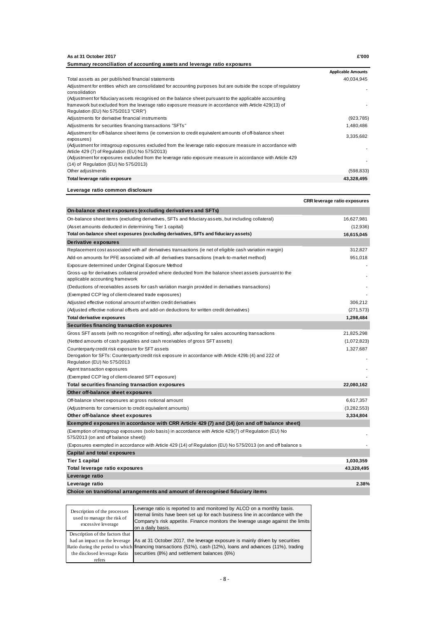| As at 31 October 2017                                                                                                                                        | £'000                     |
|--------------------------------------------------------------------------------------------------------------------------------------------------------------|---------------------------|
| Summary reconciliation of accounting assets and leverage ratio exposures                                                                                     |                           |
|                                                                                                                                                              | <b>Applicable Amounts</b> |
| Total assets as per published financial statements                                                                                                           | 40,034,945                |
| Adjustment for entities which are consolidated for accounting purposes but are outside the scope of regulatory<br>consolidation                              |                           |
| (Adjustment for fiduciary assets recognised on the balance sheet pursuant to the applicable accounting                                                       |                           |
| framework but excluded from the leverage ratio exposure measure in accordance with Article 429(13) of<br>Regulation (EU) No 575/2013 "CRR")                  |                           |
| Adjustments for derivative financial instruments                                                                                                             | (923, 785)                |
| Adjustments for securities financing transactions "SFTs"                                                                                                     | 1,480,486                 |
| Adjustment for off-balance sheet items (ie conversion to credit equivalent amounts of off-balance sheet<br>exposures)                                        | 3,335,682                 |
| (Adjustment for intragroup exposures excluded from the leverage ratio exposure measure in accordance with<br>Article 429 (7) of Regulation (EU) No 575/2013) |                           |
| (Adjustment for exposures excluded from the leverage ratio exposure measure in accordance with Article 429<br>(14) of Regulation (EU) No 575/2013)           |                           |
| Other adjustments                                                                                                                                            | (598, 833)                |
| Total leverage ratio exposure                                                                                                                                | 43,328,495                |
| Leverage ratio common disclosure                                                                                                                             |                           |

**CRR leverage ratio exposures On-balance sheet exposures (excluding derivatives and SFTs)** On-balance sheet items (excluding derivatives, SFTs and fiduciary assets, but including collateral) 16,627,981 (Asset amounts deducted in determining Tier 1 capital) (12,936) **Total on-balance sheet exposures (excluding derivatives, SFTs and fiduciary assets) 16,615,045 Derivative exposures** Replacement cost associated with *all* derivatives transactions (ie net of eligible cash variation margin) 312,827 Add-on amounts for PFE associated with *all* derivatives transactions (mark-to-market method) 951,018 Exposure determined under Original Exposure Method - Gross-up for derivatives collateral provided where deducted from the balance sheet assets pursuant to the applicable accounting framework (Deductions of receivables assets for cash variation margin provided in derivatives transactions) - (Exempted CCP leg of client-cleared trade exposures) Adjusted effective notional amount of written credit derivatives 306,212 (Adjusted effective notional offsets and add-on deductions for written credit derivatives) (271,573) **Total derivative exposures 1,298,484 Securities financing transaction exposures** Gross SFT assets (with no recognition of netting), after adjusting for sales accounting transactions 21,825,298 (Netted amounts of cash payables and cash receivables of gross SFT assets) (1,072,823) Counterparty credit risk exposure for SFT assets 1,327,687 Derogation for SFTs: Counterparty credit risk exposure in accordance with Article 429b (4) and 222 of Regulation (EU) No 575/2013 Agent transaction exposures (Exempted CCP leg of client-cleared SFT exposure) - **Total securities financing transaction exposures 22,080,162 Other off-balance sheet exposures** Off-balance sheet exposures at gross notional amount 6,617,357 (Adjustments for conversion to credit equivalent amounts) (3,282,553) **Other off-balance sheet exposures 3,334,804 Exempted exposures in accordance with CRR Article 429 (7) and (14) (on and off balance sheet)** (Exemption of intragroup exposures (solo basis) in accordance with Article 429(7) of Regulation (EU) No 575/2013 (on and off balance sheet)) (Exposures exempted in accordance with Article 429 (14) of Regulation (EU) No 575/2013 (on and off balance s - **Capital and total exposures Tier 1 capital 1,030,359 Total leverage ratio exposures 43,328,495 Leverage ratio Leverage ratio 2.38% Choice on transitional arrangements and amount of derecognised fiduciary items**

| Description of the processes<br>used to manage the risk of<br>excessive leverage | Leverage ratio is reported to and monitored by ALCO on a monthly basis.<br>Internal limits have been set up for each business line in accordance with the<br>Company's risk appetite. Finance monitors the leverage usage against the limits<br>on a daily basis. |
|----------------------------------------------------------------------------------|-------------------------------------------------------------------------------------------------------------------------------------------------------------------------------------------------------------------------------------------------------------------|
| Description of the factors that                                                  |                                                                                                                                                                                                                                                                   |
|                                                                                  | had an impact on the leverage As at 31 October 2017, the leverage exposure is mainly driven by securities                                                                                                                                                         |
|                                                                                  | Ratio during the period to which financing transactions (51%), cash (12%), loans and advances (11%), trading                                                                                                                                                      |
| the disclosed leverage Ratio                                                     | securities (8%) and settlement balances (6%)                                                                                                                                                                                                                      |
| refers                                                                           |                                                                                                                                                                                                                                                                   |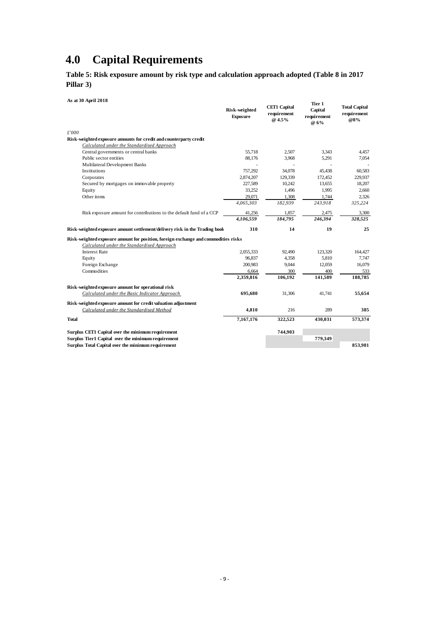## <span id="page-11-0"></span>**4.0 Capital Requirements**

<span id="page-11-1"></span>**Table 5: Risk exposure amount by risk type and calculation approach adopted (Table 8 in 2017 Pillar 3)**

**As at 30 April 2018**

| As at 30 April 2018                                                                |                           |                                              | Tier 1                         |                                            |
|------------------------------------------------------------------------------------|---------------------------|----------------------------------------------|--------------------------------|--------------------------------------------|
|                                                                                    | Risk-weighted<br>Exposure | <b>CET1 Capital</b><br>requirement<br>@ 4.5% | Capital<br>requirement<br>@ 6% | <b>Total Capital</b><br>requirement<br>@8% |
| £'000                                                                              |                           |                                              |                                |                                            |
| Risk-weighted exposure amounts for credit and counterparty credit                  |                           |                                              |                                |                                            |
| Calculated under the Standardised Approach                                         |                           |                                              |                                |                                            |
| Central governments or central banks                                               | 55,718                    | 2.507                                        | 3.343                          | 4,457                                      |
| Public sector entities                                                             | 88,176                    | 3,968                                        | 5,291                          | 7,054                                      |
| Multilateral Development Banks                                                     |                           |                                              |                                |                                            |
| Institutions                                                                       | 757,292                   | 34,078                                       | 45,438                         | 60,583                                     |
| Corporates                                                                         | 2,874,207                 | 129,339                                      | 172,452                        | 229,937                                    |
| Secured by mortgages on immovable property                                         | 227,589                   | 10,242                                       | 13,655                         | 18,207                                     |
| Equity                                                                             | 33,252                    | 1,496                                        | 1,995                          | 2,660                                      |
| Other items                                                                        | 29,071                    | 1,308                                        | 1,744                          | 2,326                                      |
|                                                                                    | 4,065,303                 | 182,939                                      | 243,918                        | 325,224                                    |
| Risk exposure amount for contributions to the default fund of a CCP                | 41,256                    | 1,857                                        | 2,475                          | 3,300                                      |
|                                                                                    | 4.106.559                 | 184,795                                      | 246.394                        | 328,525                                    |
| Risk-weighted exposure amount settlement/delivery risk in the Trading book         | 310                       | 14                                           | 19                             | 25                                         |
| Risk-weighted exposure amount for position, foreign exchange and commodities risks |                           |                                              |                                |                                            |
| Calculated under the Standardised Approach                                         |                           |                                              |                                |                                            |
| <b>Interest Rate</b>                                                               | 2.055.333                 | 92,490                                       | 123,320                        | 164,427                                    |
| Equity                                                                             | 96,837                    | 4,358                                        | 5,810                          | 7,747                                      |
| Foreign Exchange                                                                   | 200,983                   | 9,044                                        | 12,059                         | 16,079                                     |
| Commodities                                                                        | 6,664                     | 300                                          | 400                            | 533                                        |
|                                                                                    | 2,359,816                 | 106,192                                      | 141,589                        | 188,785                                    |
| Risk-weighted exposure amount for operational risk                                 |                           |                                              |                                |                                            |
| Calculated under the Basic Indicator Approach                                      | 695,680                   | 31,306                                       | 41,741                         | 55,654                                     |
| Risk-weighted exposure amount for credit valuation adjustment                      |                           |                                              |                                |                                            |
| Calculated under the Standardised Method                                           | 4,810                     | 216                                          | 289                            | 385                                        |
| <b>Total</b>                                                                       | 7,167,176                 | 322,523                                      | 430,031                        | 573,374                                    |
| Surplus CET1 Capital over the minimum requirement                                  |                           | 744,903                                      |                                |                                            |
| Surplus Tier1 Capital over the minimum requirement                                 |                           |                                              | 779,349                        |                                            |
| Surplus Total Capital over the minimum requirement                                 |                           |                                              |                                | 853,981                                    |
|                                                                                    |                           |                                              |                                |                                            |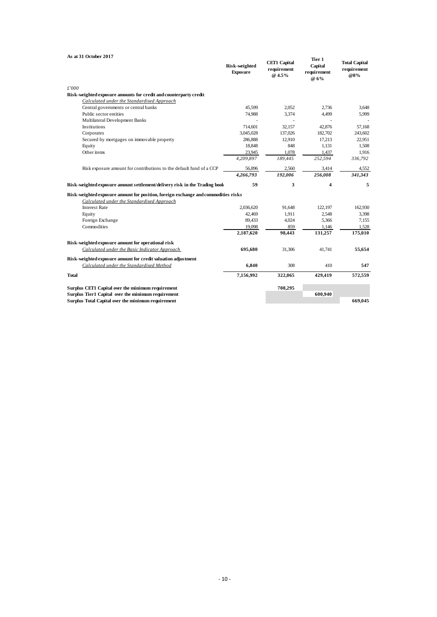| As at 31 October 2017                                                                                     |                           |                                              | Tier 1                         |                                            |
|-----------------------------------------------------------------------------------------------------------|---------------------------|----------------------------------------------|--------------------------------|--------------------------------------------|
|                                                                                                           | Risk-weighted<br>Exposure | <b>CET1 Capital</b><br>requirement<br>@ 4.5% | Capital<br>requirement<br>@ 6% | <b>Total Capital</b><br>requirement<br>@8% |
| £'000                                                                                                     |                           |                                              |                                |                                            |
| Risk-weighted exposure amounts for credit and counterparty credit                                         |                           |                                              |                                |                                            |
| Calculated under the Standardised Approach                                                                |                           |                                              |                                |                                            |
| Central governments or central banks                                                                      | 45.599                    | 2.052                                        | 2.736                          | 3.648                                      |
| Public sector entities                                                                                    | 74,988                    | 3,374                                        | 4,499                          | 5,999                                      |
| Multilateral Development Banks                                                                            |                           |                                              | $\overline{\phantom{a}}$       |                                            |
| Institutions                                                                                              | 714,601                   | 32,157                                       | 42,876                         | 57,168                                     |
| Corporates                                                                                                | 3,045,028                 | 137,026                                      | 182,702                        | 243,602                                    |
| Secured by mortgages on immovable property                                                                | 286,888                   | 12,910                                       | 17,213                         | 22,951                                     |
| Equity                                                                                                    | 18,848                    | 848                                          | 1,131                          | 1,508                                      |
| Other items                                                                                               | 23,945                    | 1,078                                        | 1,437                          | 1,916                                      |
|                                                                                                           | 4,209,897                 | 189,445                                      | 252,594                        | 336,792                                    |
| Risk exposure amount for contributions to the default fund of a CCP                                       | 56,896                    | 2,560                                        | 3,414                          | 4,552                                      |
|                                                                                                           | 4,266,793                 | 192,006                                      | 256,008                        | 341,343                                    |
|                                                                                                           |                           |                                              |                                |                                            |
| Risk-weighted exposure amount settlement/delivery risk in the Trading book                                | 59                        | 3                                            | 4                              | 5                                          |
| Risk-weighted exposure amount for position, foreign exchange and commodities risks                        |                           |                                              |                                |                                            |
| Calculated under the Standardised Approach                                                                |                           |                                              |                                |                                            |
| <b>Interest Rate</b>                                                                                      | 2,036,620                 | 91,648                                       | 122,197                        | 162,930                                    |
| Equity                                                                                                    | 42,469                    | 1,911                                        | 2,548                          | 3,398                                      |
| Foreign Exchange                                                                                          | 89,433                    | 4,024                                        | 5,366                          | 7,155                                      |
| Commodities                                                                                               | 19,098                    | 859                                          | 1,146                          | 1,528                                      |
|                                                                                                           | 2,187,620                 | 98,443                                       | 131,257                        | 175,010                                    |
|                                                                                                           |                           |                                              |                                |                                            |
| Risk-weighted exposure amount for operational risk<br>Calculated under the Basic Indicator Approach       | 695,680                   | 31,306                                       | 41,741                         | 55,654                                     |
|                                                                                                           |                           |                                              |                                |                                            |
| Risk-weighted exposure amount for credit valuation adjustment<br>Calculated under the Standardised Method | 6,840                     | 308                                          | 410                            | 547                                        |
| <b>Total</b>                                                                                              | 7,156,992                 | 322,065                                      | 429,419                        | 572,559                                    |
|                                                                                                           |                           |                                              |                                |                                            |
| Surplus CET1 Capital over the minimum requirement                                                         |                           | 708,295                                      |                                |                                            |
| Surplus Tier1 Capital over the minimum requirement<br>Surplus Total Capital over the minimum requirement  |                           |                                              | 600,940                        | 669.045                                    |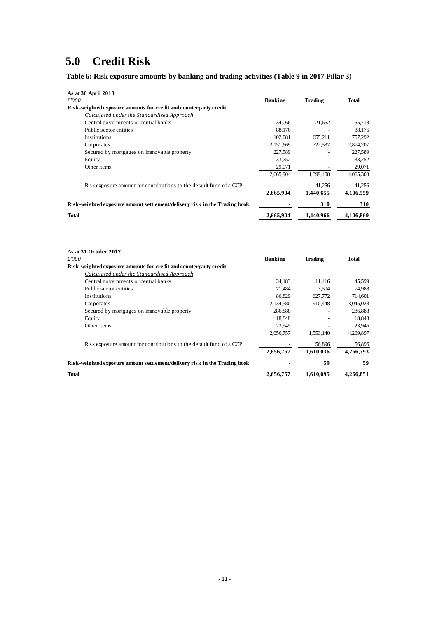## <span id="page-13-0"></span>**5.0 Credit Risk**

<span id="page-13-1"></span>**Table 6: Risk exposure amounts by banking and trading activities (Table 9 in 2017 Pillar 3)**

| As at 30 April 2018                                                        |                |           |           |
|----------------------------------------------------------------------------|----------------|-----------|-----------|
| £'000                                                                      | <b>Banking</b> | Trading   | Total     |
| Risk-weighted exposure amounts for credit and counterparty credit          |                |           |           |
| Calculated under the Standardised Approach                                 |                |           |           |
| Central governments or central banks                                       | 34,066         | 21,652    | 55,718    |
| Public sector entities                                                     | 88.176         |           | 88,176    |
| Institutions                                                               | 102.081        | 655.211   | 757.292   |
| Corporates                                                                 | 2,151,669      | 722,537   | 2,874,207 |
| Secured by mortgages on immovable property                                 | 227.589        |           | 227,589   |
| Equity                                                                     | 33.252         |           | 33.252    |
| Other items                                                                | 29,071         |           | 29,071    |
|                                                                            | 2,665,904      | 1.399.400 | 4,065,303 |
| Risk exposure amount for contributions to the default fund of a CCP        |                | 41,256    | 41,256    |
|                                                                            | 2,665,904      | 1,440,655 | 4,106,559 |
| Risk-weighted exposure amount settlement/delivery risk in the Trading book |                | 310       | 310       |
| <b>Total</b>                                                               | 2,665,904      | 1.440.966 | 4.106.869 |

| As at 31 October 2017                                                      |                |           |              |
|----------------------------------------------------------------------------|----------------|-----------|--------------|
| £'000                                                                      | <b>Banking</b> | Trading   | <b>Total</b> |
| Risk-weighted exposure amounts for credit and counterparty credit          |                |           |              |
| Calculated under the Standardised Approach                                 |                |           |              |
| Central governments or central banks                                       | 34.183         | 11.416    | 45,599       |
| Public sector entities                                                     | 71,484         | 3,504     | 74,988       |
| <b>Institutions</b>                                                        | 86.829         | 627,772   | 714.601      |
| Corporates                                                                 | 2,134,580      | 910.448   | 3,045,028    |
| Secured by mortgages on immovable property                                 | 286,888        |           | 286,888      |
| Equity                                                                     | 18,848         |           | 18,848       |
| Other items                                                                | 23,945         |           | 23,945       |
|                                                                            | 2,656,757      | 1,553,140 | 4,209,897    |
| Risk exposure amount for contributions to the default fund of a CCP        |                | 56,896    | 56,896       |
|                                                                            | 2,656,757      | 1,610,036 | 4,266,793    |
| Risk-weighted exposure amount settlement/delivery risk in the Trading book |                | 59        | 59           |
| <b>Total</b>                                                               | 2,656,757      | 1,610,095 | 4.266.851    |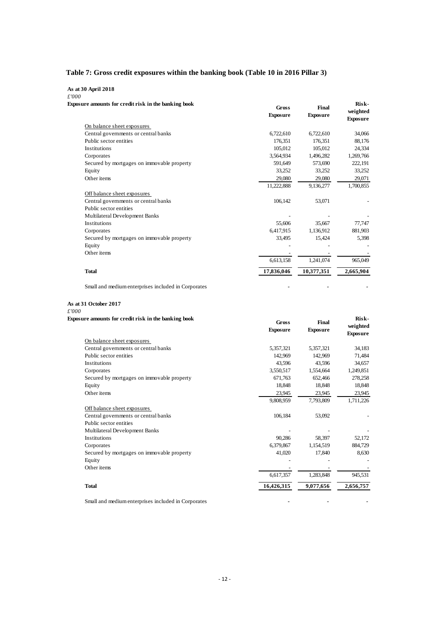### <span id="page-14-0"></span>**Table 7: Gross credit exposures within the banking book (Table 10 in 2016 Pillar 3)**

#### **As at 30 April 2018**

*£'000* **Exposure amounts for credit risk in the banking book** 

| sure amounts for credit risk in the banking book    | <b>Gross</b><br><b>Exposure</b> | Final<br><b>Exposure</b> | Risk-<br>weighted<br><b>Exposure</b> |
|-----------------------------------------------------|---------------------------------|--------------------------|--------------------------------------|
| On balance sheet exposures                          |                                 |                          |                                      |
| Central governments or central banks                | 6,722,610                       | 6,722,610                | 34,066                               |
| Public sector entities                              | 176.351                         | 176.351                  | 88,176                               |
| Institutions                                        | 105.012                         | 105.012                  | 24,334                               |
| Corporates                                          | 3,564,934                       | 1,496,282                | 1,269,766                            |
| Secured by mortgages on immovable property          | 591.649                         | 573,690                  | 222,191                              |
| Equity                                              | 33,252                          | 33,252                   | 33,252                               |
| Other items                                         | 29,080                          | 29,080                   | 29,071                               |
|                                                     | 11,222,888                      | 9,136,277                | 1,700,855                            |
| Off balance sheet exposures                         |                                 |                          |                                      |
| Central governments or central banks                | 106,142                         | 53,071                   |                                      |
| Public sector entities                              |                                 |                          |                                      |
| Multilateral Development Banks                      |                                 |                          |                                      |
| <b>Institutions</b>                                 | 55,606                          | 35,667                   | 77,747                               |
| Corporates                                          | 6.417.915                       | 1,136,912                | 881,903                              |
| Secured by mortgages on immovable property          | 33,495                          | 15,424                   | 5,398                                |
| Equity                                              |                                 |                          |                                      |
| Other items                                         |                                 |                          |                                      |
|                                                     | 6,613,158                       | 1,241,074                | 965,049                              |
| <b>Total</b>                                        | 17,836,046                      | 10,377,351               | 2,665,904                            |
| Small and medium enterprises included in Corporates |                                 |                          |                                      |

#### **As at 31 October 2017**

*£'000*

| Exposure amounts for credit risk in the banking book | <b>Gross</b>    | Final           | Risk-                       |
|------------------------------------------------------|-----------------|-----------------|-----------------------------|
|                                                      | <b>Exposure</b> | <b>Exposure</b> | weighted<br><b>Exposure</b> |
| On balance sheet exposures                           |                 |                 |                             |
| Central governments or central banks                 | 5,357,321       | 5,357,321       | 34,183                      |
| Public sector entities                               | 142,969         | 142,969         | 71,484                      |
| Institutions                                         | 43.596          | 43.596          | 34,657                      |
| Corporates                                           | 3,550,517       | 1,554,664       | 1,249,851                   |
| Secured by mortgages on immovable property           | 671,763         | 652,466         | 278,258                     |
| Equity                                               | 18,848          | 18,848          | 18,848                      |
| Other items                                          | 23,945          | 23,945          | 23,945                      |
|                                                      | 9,808,959       | 7,793,809       | 1,711,226                   |
| Off balance sheet exposures                          |                 |                 |                             |
| Central governments or central banks                 | 106,184         | 53,092          |                             |
| Public sector entities                               |                 |                 |                             |
| Multilateral Development Banks                       |                 |                 |                             |
| <b>Institutions</b>                                  | 90,286          | 58,397          | 52,172                      |
| Corporates                                           | 6,379,867       | 1,154,519       | 884,729                     |
| Secured by mortgages on immovable property           | 41,020          | 17,840          | 8,630                       |
| Equity                                               |                 |                 |                             |
| Other items                                          |                 |                 |                             |
|                                                      | 6,617,357       | 1,283,848       | 945,531                     |
| <b>Total</b>                                         | 16,426,315      | 9,077,656       | 2,656,757                   |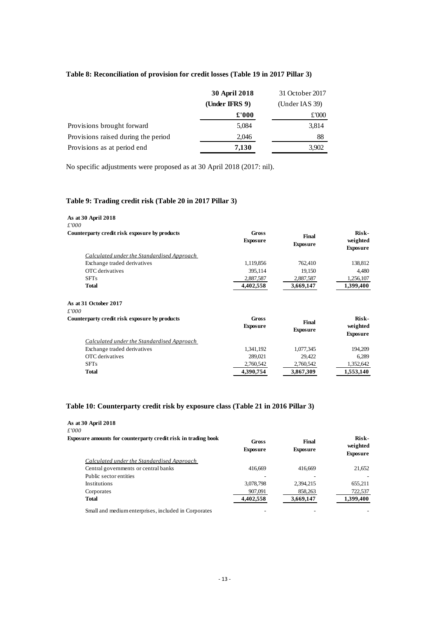#### <span id="page-15-0"></span>**Table 8: Reconciliation of provision for credit losses (Table 19 in 2017 Pillar 3)**

|                                     | 30 April 2018     | 31 October 2017   |
|-------------------------------------|-------------------|-------------------|
|                                     | (Under IFRS $9$ ) | (Under IAS $39$ ) |
|                                     | £'000             | £000              |
| Provisions brought forward          | 5,084             | 3,814             |
| Provisions raised during the period | 2,046             | 88                |
| Provisions as at period end         | 7,130             | 3,902             |

No specific adjustments were proposed as at 30 April 2018 (2017: nil).

### <span id="page-15-1"></span>**Table 9: Trading credit risk (Table 20 in 2017 Pillar 3)**

| As at 30 April 2018<br>£'000                  |                          |                          |                                      |
|-----------------------------------------------|--------------------------|--------------------------|--------------------------------------|
| Counterparty credit risk exposure by products | Gross<br><b>Exposure</b> | Final<br><b>Exposure</b> | Risk-<br>weighted<br><b>Exposure</b> |
| Calculated under the Standardised Approach    |                          |                          |                                      |
| Exchange traded derivatives                   | 1,119,856                | 762,410                  | 138,812                              |
| OTC derivatives                               | 395,114                  | 19,150                   | 4,480                                |
| <b>SFTs</b>                                   | 2,887,587                | 2,887,587                | 1,256,107                            |
| <b>Total</b>                                  | 4,402,558                | 3,669,147                | 1,399,400                            |
| As at 31 October 2017                         |                          |                          |                                      |
| £'000                                         |                          |                          |                                      |
| Counterparty credit risk exposure by products | <b>Gross</b>             | Final                    | Risk-                                |
|                                               | <b>Exposure</b>          | <b>Exposure</b>          | weighted<br><b>Exposure</b>          |
| Calculated under the Standardised Approach    |                          |                          |                                      |
| Exchange traded derivatives                   | 1,341,192                | 1,077,345                | 194,209                              |
| OTC derivatives                               | 289,021                  | 29,422                   | 6,289                                |
| <b>SFTs</b>                                   | 2,760,542                | 2,760,542                | 1,352,642                            |
| <b>Total</b>                                  | 4,390,754                | 3,867,309                | 1,553,140                            |

#### <span id="page-15-2"></span>**Table 10: Counterparty credit risk by exposure class (Table 21 in 2016 Pillar 3)**

#### **As at 30 April 2018** *£'000* **Exposure amounts for counterparty credit risk in trading book Gross Exposure Final Exposure Riskweighted Exposure** *Calculated under the Standardised Approach*  Central governments or central banks 416,669 416,669 416,669 21,652 Public sector entities Institutions 3,078,798 2,394,215 655,211 Corporates 207,091 858,263 722,537 **Total 4,402,558 3,669,147 1,399,400** Small and medium enterprises, included in Corporates - - -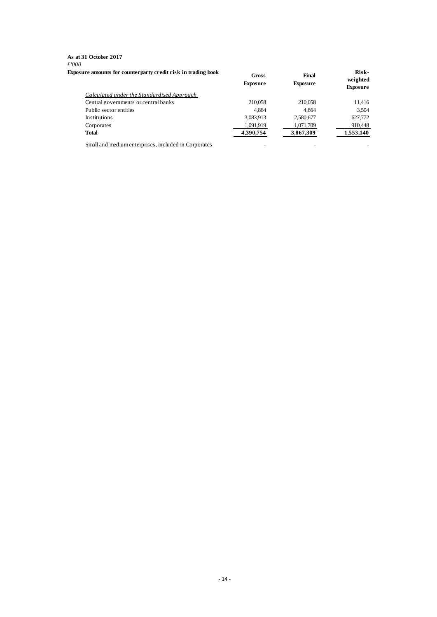#### **As at 31 October 2017** *£'000* **Exposure amounts for counterparty credit risk in trading book**

| sure amounts for counterparty credit risk in trading book | Gross<br><b>Exposure</b> | Final<br><b>Exposure</b> | Risk-<br>weighted<br><b>Exposure</b> |
|-----------------------------------------------------------|--------------------------|--------------------------|--------------------------------------|
| Calculated under the Standardised Approach                |                          |                          |                                      |
| Central governments or central banks                      | 210,058                  | 210,058                  | 11,416                               |
| Public sector entities                                    | 4.864                    | 4.864                    | 3,504                                |
| Institutions                                              | 3,083,913                | 2,580,677                | 627,772                              |
| Corporates                                                | 1,091,919                | 1,071,709                | 910,448                              |
| <b>Total</b>                                              | 4,390,754                | 3,867,309                | 1,553,140                            |
| Small and medium enterprises, included in Corporates      |                          |                          |                                      |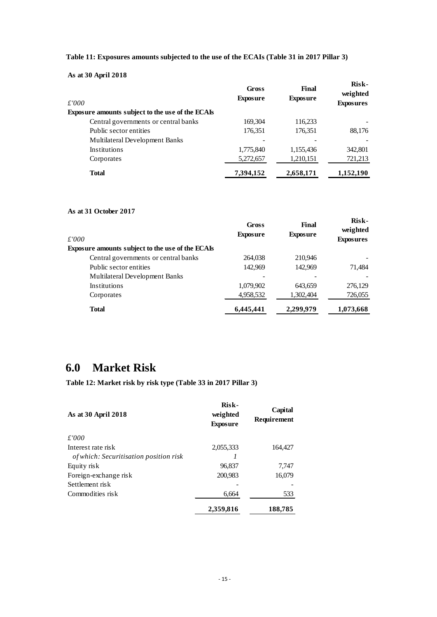<span id="page-17-1"></span>

| Table 11: Exposures amounts subjected to the use of the ECAIs (Table 31 in 2017 Pillar 3) |  |
|-------------------------------------------------------------------------------------------|--|
|-------------------------------------------------------------------------------------------|--|

**As at 30 April 2018**

| £'000                                                   | <b>Gross</b><br><b>Exposure</b> | Final<br><b>Exposure</b> | Risk-<br>weighted<br><b>Exposures</b> |
|---------------------------------------------------------|---------------------------------|--------------------------|---------------------------------------|
| <b>Exposure amounts subject to the use of the ECAIs</b> |                                 |                          |                                       |
| Central governments or central banks                    | 169,304                         | 116,233                  |                                       |
| Public sector entities                                  | 176,351                         | 176,351                  | 88,176                                |
| Multilateral Development Banks                          |                                 |                          |                                       |
| <b>Institutions</b>                                     | 1,775,840                       | 1,155,436                | 342,801                               |
| Corporates                                              | 5,272,657                       | 1,210,151                | 721,213                               |
| <b>Total</b>                                            | 7,394,152                       | 2,658,171                | 1,152,190                             |

#### **As at 31 October 2017**

| f/000                                                   | Gross<br><b>Exposure</b> | Final<br><b>Exposure</b> | Risk-<br>weighted<br><b>Exposures</b> |
|---------------------------------------------------------|--------------------------|--------------------------|---------------------------------------|
| <b>Exposure amounts subject to the use of the ECAIs</b> |                          |                          |                                       |
| Central governments or central banks                    | 264,038                  | 210,946                  |                                       |
| Public sector entities                                  | 142,969                  | 142,969                  | 71,484                                |
| Multilateral Development Banks                          |                          |                          |                                       |
| <b>Institutions</b>                                     | 1,079,902                | 643,659                  | 276,129                               |
| Corporates                                              | 4,958,532                | 1,302,404                | 726,055                               |
| <b>Total</b>                                            | 6,445,441                | 2,299,979                | 1,073,668                             |

## <span id="page-17-0"></span>**6.0 Market Risk**

<span id="page-17-2"></span>**Table 12: Market risk by risk type (Table 33 in 2017 Pillar 3)**

| As at 30 April 2018                    | Risk-<br>weighted<br><b>Exposure</b> | Capital<br>Requirement |
|----------------------------------------|--------------------------------------|------------------------|
| £'000                                  |                                      |                        |
| Interest rate risk                     | 2,055,333                            | 164,427                |
| of which: Securitisation position risk |                                      |                        |
| Equity risk                            | 96,837                               | 7,747                  |
| Foreign-exchange risk                  | 200,983                              | 16,079                 |
| Settlement risk                        |                                      |                        |
| Commodities risk                       | 6,664                                | 533                    |
|                                        | 2,359,816                            | 188,785                |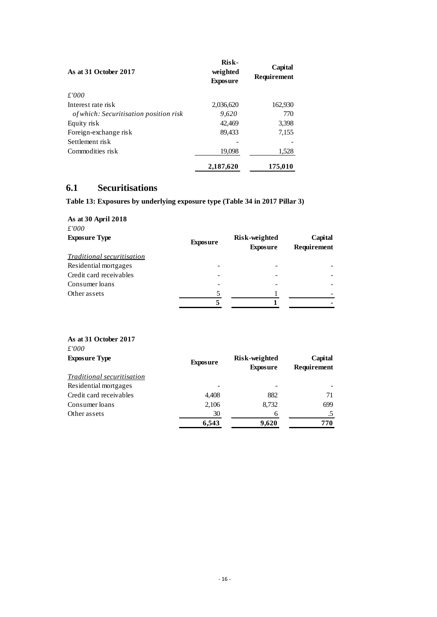| As at 31 October 2017                         | Risk-<br>weighted<br><b>Exposure</b> | Capital<br><b>Requirement</b> |
|-----------------------------------------------|--------------------------------------|-------------------------------|
| £'000                                         |                                      |                               |
| Interest rate risk                            | 2,036,620                            | 162,930                       |
| <i>of which: Securitisation position risk</i> | 9,620                                | 770                           |
| Equity risk                                   | 42,469                               | 3,398                         |
| Foreign-exchange risk                         | 89,433                               | 7,155                         |
| Settlement risk                               |                                      |                               |
| Commodities risk                              | 19,098                               | 1,528                         |
|                                               | 2,187,620                            | 175,010                       |

### <span id="page-18-0"></span>**6.1 Securitisations**

### <span id="page-18-1"></span>**Table 13: Exposures by underlying exposure type (Table 34 in 2017 Pillar 3)**

| As at 30 April 2018<br>£'000      |                 |                                  |                        |
|-----------------------------------|-----------------|----------------------------------|------------------------|
| <b>Exposure Type</b>              | <b>Exposure</b> | Risk-weighted<br><b>Exposure</b> | Capital<br>Requirement |
| <i>Traditional securitisation</i> |                 |                                  |                        |
| Residential mortgages             |                 |                                  |                        |
| Credit card receivables           |                 |                                  |                        |
| Consumer loans                    |                 |                                  |                        |
| Other assets                      | 5               |                                  |                        |
|                                   |                 |                                  |                        |

| As at 31 October 2017<br>$\pounds'000$ |                 |                                  |                        |
|----------------------------------------|-----------------|----------------------------------|------------------------|
| <b>Exposure Type</b>                   | <b>Exposure</b> | Risk-weighted<br><b>Exposure</b> | Capital<br>Requirement |
| <i>Traditional securitisation</i>      |                 |                                  |                        |
| Residential mortgages                  |                 |                                  |                        |
| Credit card receivables                | 4,408           | 882                              | 71                     |
| Consumer loans                         | 2,106           | 8,732                            | 699                    |
| Other assets                           | 30              | 6                                | .5                     |
|                                        | 6,543           | 9,620                            | 770                    |